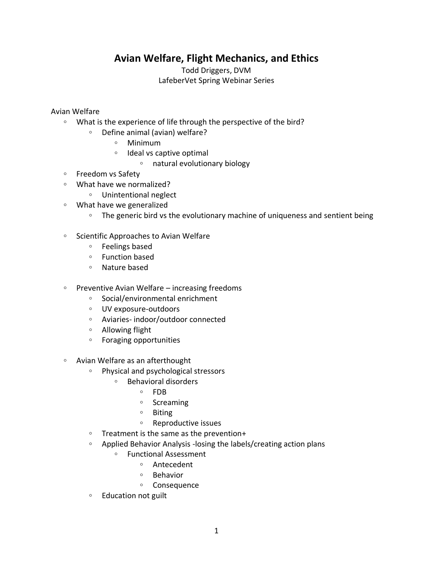## **Avian Welfare, Flight Mechanics, and Ethics**

Todd Driggers, DVM LafeberVet Spring Webinar Series

## Avian Welfare

- What is the experience of life through the perspective of the bird?
	- Define animal (avian) welfare?
		- Minimum
		- Ideal vs captive optimal
			- natural evolutionary biology
- Freedom vs Safety
- What have we normalized?
	- Unintentional neglect
- What have we generalized
	- The generic bird vs the evolutionary machine of uniqueness and sentient being
- Scientific Approaches to Avian Welfare
	- Feelings based
	- Function based
	- Nature based
- Preventive Avian Welfare increasing freedoms
	- Social/environmental enrichment
	- UV exposure-outdoors
	- Aviaries- indoor/outdoor connected
	- Allowing flight
	- Foraging opportunities
- Avian Welfare as an afterthought
	- Physical and psychological stressors
		- Behavioral disorders
			- FDB
				- Screaming
				- Biting
				- Reproductive issues
	- Treatment is the same as the prevention+
	- Applied Behavior Analysis -losing the labels/creating action plans
		- Functional Assessment
			- Antecedent
			- Behavior
			- Consequence
	- Education not guilt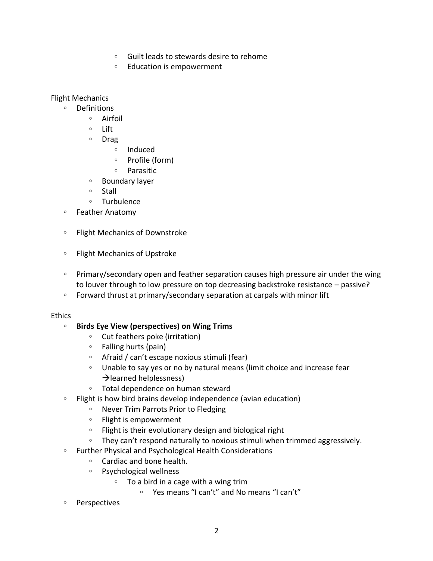- Guilt leads to stewards desire to rehome
- Education is empowerment

Flight Mechanics

- Definitions
	- Airfoil
	- Lift
	- Drag
		- Induced
		- Profile (form)
		- Parasitic
	- Boundary layer
	- Stall
	- Turbulence
- Feather Anatomy
- Flight Mechanics of Downstroke
- Flight Mechanics of Upstroke
- Primary/secondary open and feather separation causes high pressure air under the wing to louver through to low pressure on top decreasing backstroke resistance – passive?
- Forward thrust at primary/secondary separation at carpals with minor lift

## Ethics

- **Birds Eye View (perspectives) on Wing Trims**
	- Cut feathers poke (irritation)
	- Falling hurts (pain)
	- Afraid / can't escape noxious stimuli (fear)
	- Unable to say yes or no by natural means (limit choice and increase fear  $\rightarrow$  learned helplessness)
	- Total dependence on human steward
- Flight is how bird brains develop independence (avian education)
	- Never Trim Parrots Prior to Fledging
	- Flight is empowerment
	- Flight is their evolutionary design and biological right
	- They can't respond naturally to noxious stimuli when trimmed aggressively.
- Further Physical and Psychological Health Considerations
	- Cardiac and bone health.
	- Psychological wellness
		- To a bird in a cage with a wing trim
			- Yes means "I can't" and No means "I can't"
- Perspectives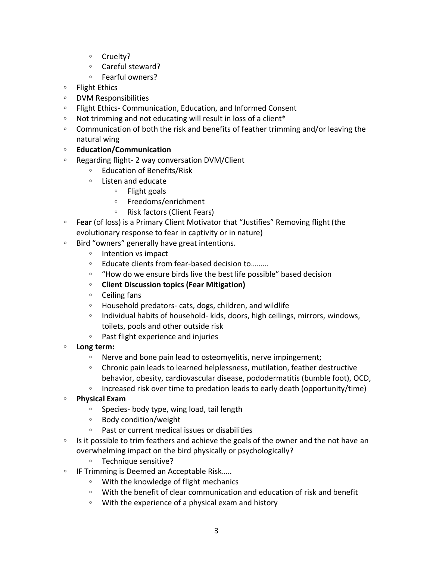- Cruelty?
- Careful steward?
- Fearful owners?
- Flight Ethics
- DVM Responsibilities
- Flight Ethics- Communication, Education, and Informed Consent
- Not trimming and not educating will result in loss of a client\*
- Communication of both the risk and benefits of feather trimming and/or leaving the natural wing
- **Education/Communication**
- Regarding flight- 2 way conversation DVM/Client
	- Education of Benefits/Risk
	- Listen and educate
		- Flight goals
		- Freedoms/enrichment
		- Risk factors (Client Fears)
- **Fear** (of loss) is a Primary Client Motivator that "Justifies" Removing flight (the evolutionary response to fear in captivity or in nature)
- Bird "owners" generally have great intentions.
	- Intention vs impact
	- Educate clients from fear-based decision to………
	- "How do we ensure birds live the best life possible" based decision
	- **Client Discussion topics (Fear Mitigation)**
	- Ceiling fans
	- Household predators- cats, dogs, children, and wildlife
	- Individual habits of household- kids, doors, high ceilings, mirrors, windows, toilets, pools and other outside risk
	- Past flight experience and injuries
- **Long term:** 
	- Nerve and bone pain lead to osteomyelitis, nerve impingement;
	- Chronic pain leads to learned helplessness, mutilation, feather destructive behavior, obesity, cardiovascular disease, pododermatitis (bumble foot), OCD,
	- Increased risk over time to predation leads to early death (opportunity/time)
- **Physical Exam**
	- Species- body type, wing load, tail length
	- Body condition/weight
	- Past or current medical issues or disabilities
- Is it possible to trim feathers and achieve the goals of the owner and the not have an overwhelming impact on the bird physically or psychologically?
	- Technique sensitive?
- IF Trimming is Deemed an Acceptable Risk…..
	- With the knowledge of flight mechanics
	- With the benefit of clear communication and education of risk and benefit
	- With the experience of a physical exam and history